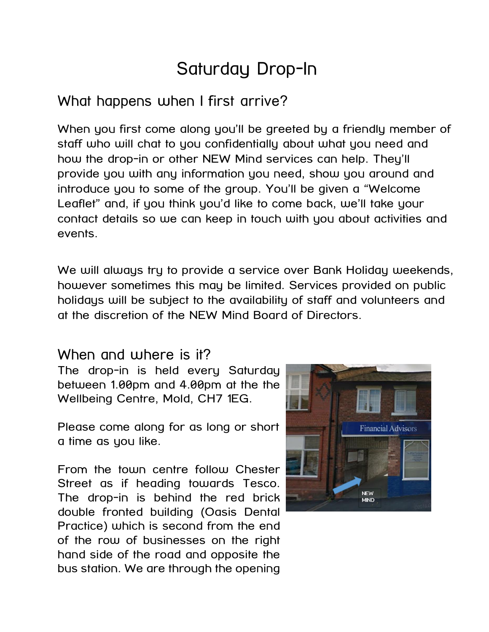## Saturday Drop-In

## What happens when I first arrive?

When you first come along you'll be greeted by a friendly member of staff who will chat to you confidentially about what you need and how the drop-in or other NEW Mind services can help. They'll provide you with any information you need, show you around and introduce you to some of the group. You'll be given a "Welcome Leaflet" and, if you think you'd like to come back, we'll take your contact details so we can keep in touch with you about activities and events.

We will always try to provide a service over Bank Holiday weekends, however sometimes this may be limited. Services provided on public holidays will be subject to the availability of staff and volunteers and at the discretion of the NEW Mind Board of Directors.

## When and where is it?

The drop-in is held every Saturday between 1.00pm and 4.00pm at the the Wellbeing Centre, Mold, CH7 1EG.

Please come along for as long or short a time as you like.

From the town centre follow Chester Street as if heading towards Tesco. The drop-in is behind the red brick double fronted building (Oasis Dental Practice) which is second from the end of the row of businesses on the right hand side of the road and opposite the bus station. We are through the opening